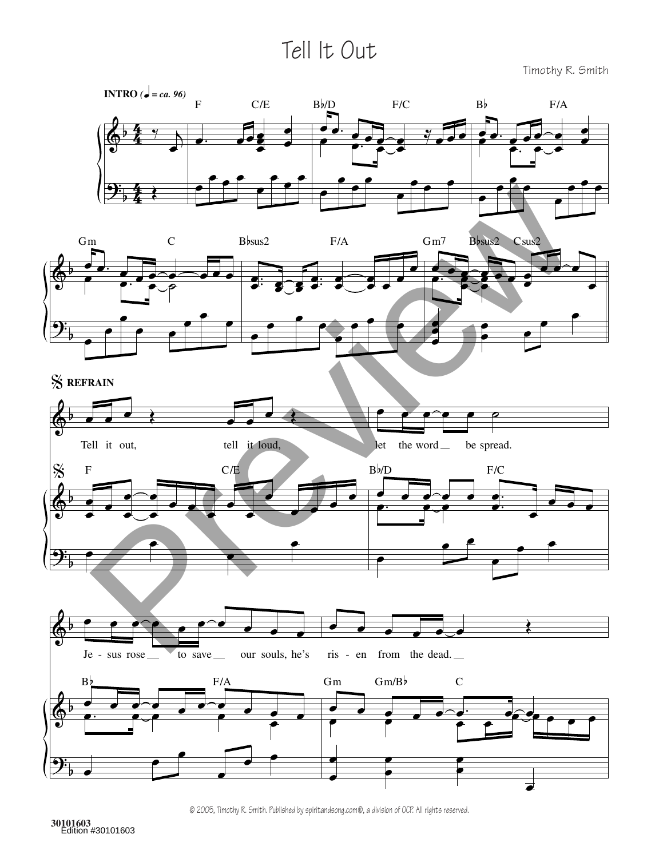## Tell It Out

Timothy R. Smith

œ





% **REFRAIN**





© 2005, Timothy R. Smith. Published by spiritandsong.com®, a division of OCP. All rights reserved.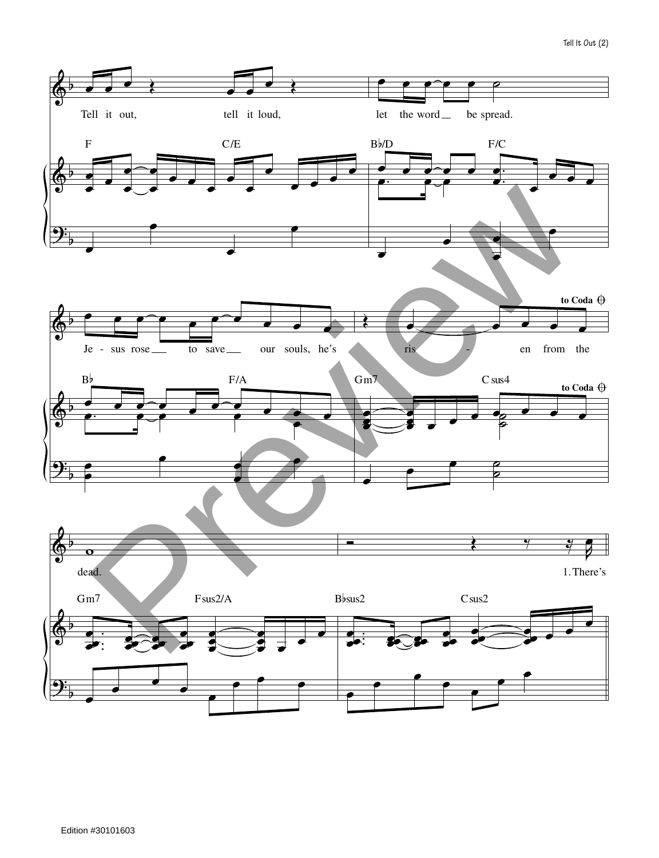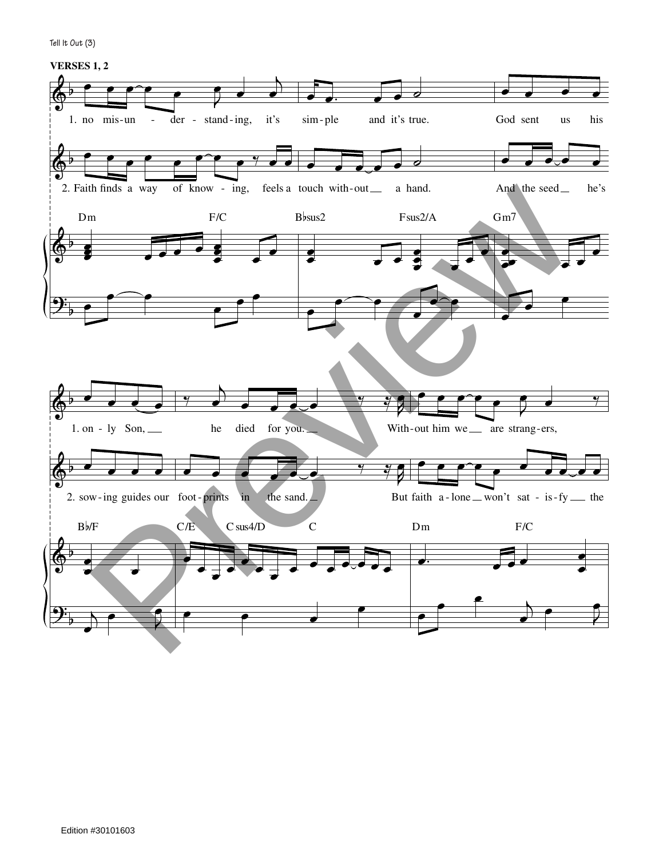**Tell It Out (3)**

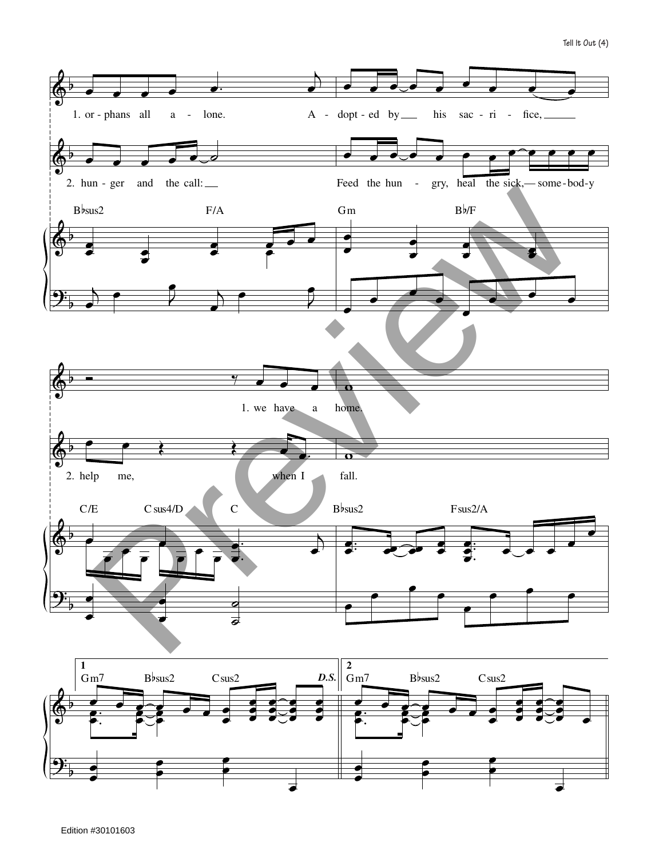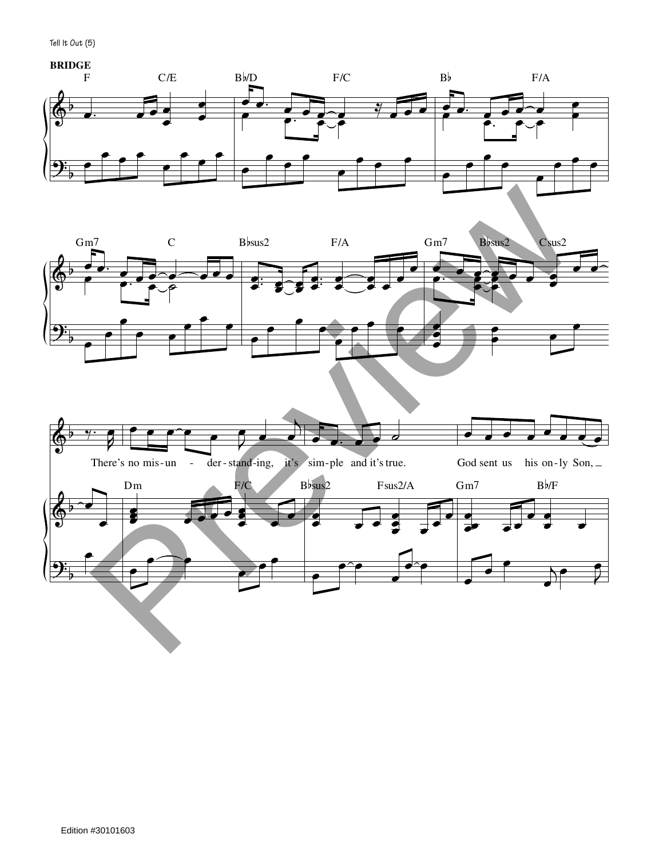**Tell It Out (5)**